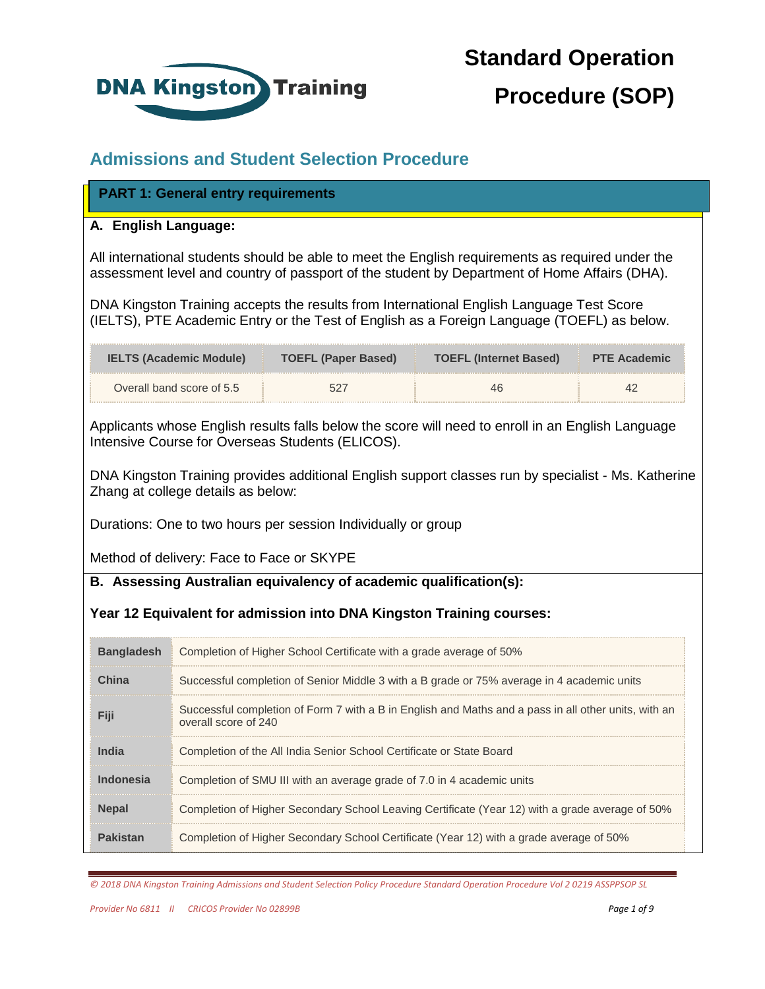

# **Standard Operation Procedure (SOP)**

#### **Admissions and Student Selection Procedure**

#### **PART 1: General entry requirements PART 1: General entry requirements**

#### **A. English Language:**

All international students should be able to meet the English requirements as required under the assessment level and country of passport of the student by Department of Home Affairs (DHA).

DNA Kingston Training accepts the results from International English Language Test Score (IELTS), PTE Academic Entry or the Test of English as a Foreign Language (TOEFL) as below.

| <b>IELTS (Academic Module)</b> | <b>TOEFL (Paper Based)</b> | <b>TOEFL (Internet Based)</b> | <b>PTE Academic</b> |
|--------------------------------|----------------------------|-------------------------------|---------------------|
| Overall band score of 5.5      |                            |                               |                     |

Applicants whose English results falls below the score will need to enroll in an English Language Intensive Course for Overseas Students (ELICOS).

DNA Kingston Training provides additional English support classes run by specialist - Ms. Katherine Zhang at college details as below:

Durations: One to two hours per session Individually or group

Method of delivery: Face to Face or SKYPE

**B. Assessing Australian equivalency of academic qualification(s):** 

#### **Year 12 Equivalent for admission into DNA Kingston Training courses:**

| <b>Bangladesh</b> | Completion of Higher School Certificate with a grade average of 50%                                                          |
|-------------------|------------------------------------------------------------------------------------------------------------------------------|
| China             | Successful completion of Senior Middle 3 with a B grade or 75% average in 4 academic units                                   |
| 12111             | Successful completion of Form 7 with a B in English and Maths and a pass in all other units, with an<br>overall score of 240 |
| India             | Completion of the All India Senior School Certificate or State Board                                                         |
| Indonesia         | Completion of SMU III with an average grade of 7.0 in 4 academic units                                                       |
| <b>Nepal</b>      | Completion of Higher Secondary School Leaving Certificate (Year 12) with a grade average of 50%                              |
| Pakistan          | Completion of Higher Secondary School Certificate (Year 12) with a grade average of 50%                                      |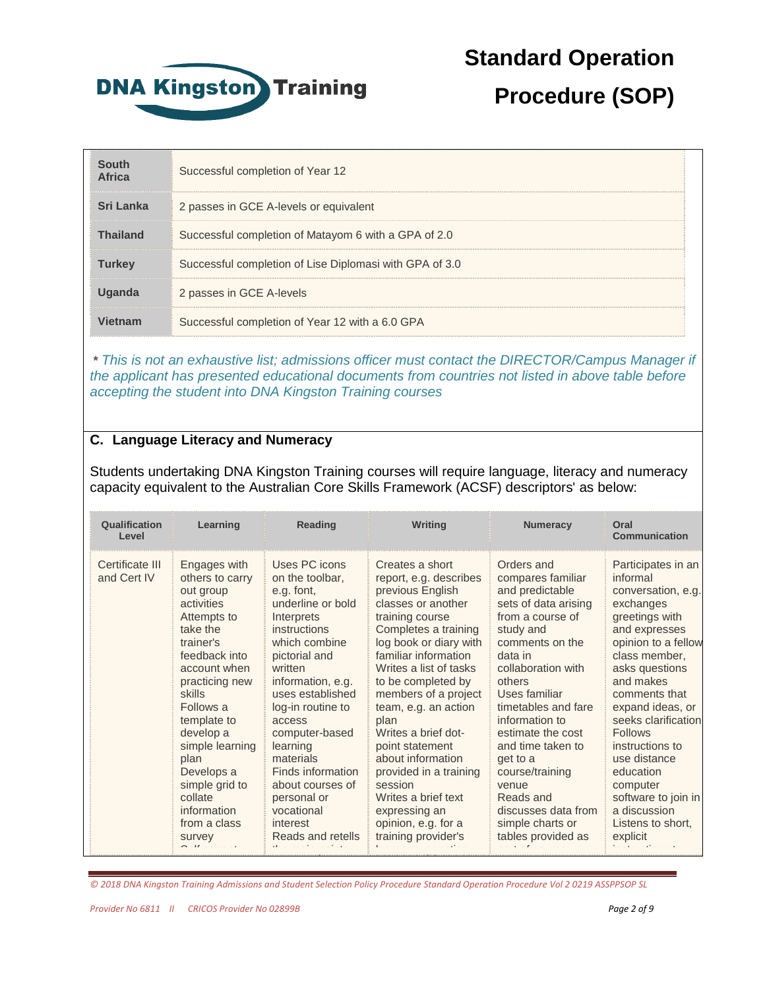

### **Procedure (SOP)**

| South<br><b>Africa</b> | Successful completion of Year 12                        |
|------------------------|---------------------------------------------------------|
| Sri Lanka              | 2 passes in GCE A-levels or equivalent                  |
| <b>Thailand</b>        | Successful completion of Matayom 6 with a GPA of 2.0    |
| <b>Turkey</b>          | Successful completion of Lise Diplomasi with GPA of 3.0 |
|                        | 2 passes in GCE A-levels                                |
| Vietnam                | Successful completion of Year 12 with a 6.0 GPA         |

**\*** *This is not an exhaustive list; admissions officer must contact the DIRECTOR/Campus Manager if the applicant has presented educational documents from countries not listed in above table before accepting the student into DNA Kingston Training courses*

#### **C. Language Literacy and Numeracy**

Students undertaking DNA Kingston Training courses will require language, literacy and numeracy capacity equivalent to the Australian Core Skills Framework (ACSF) descriptors' as below:

| Qualification<br>Level         | Learning                                                                                                                                                                                                                                                                                                                                  | Reading                                                                                                                                                                                                                                                                                                                                                                         | Writing                                                                                                                                                                                                                                                                                                                                                                                                                                                                            | <b>Numeracy</b>                                                                                                                                                                                                                                                                                                                                                                                     | Oral<br>Communication                                                                                                                                                                                                                                                                                                                                                                         |
|--------------------------------|-------------------------------------------------------------------------------------------------------------------------------------------------------------------------------------------------------------------------------------------------------------------------------------------------------------------------------------------|---------------------------------------------------------------------------------------------------------------------------------------------------------------------------------------------------------------------------------------------------------------------------------------------------------------------------------------------------------------------------------|------------------------------------------------------------------------------------------------------------------------------------------------------------------------------------------------------------------------------------------------------------------------------------------------------------------------------------------------------------------------------------------------------------------------------------------------------------------------------------|-----------------------------------------------------------------------------------------------------------------------------------------------------------------------------------------------------------------------------------------------------------------------------------------------------------------------------------------------------------------------------------------------------|-----------------------------------------------------------------------------------------------------------------------------------------------------------------------------------------------------------------------------------------------------------------------------------------------------------------------------------------------------------------------------------------------|
| Certificate III<br>and Cert IV | Engages with<br>others to carry<br>out group<br>activities<br>Attempts to<br>take the<br>trainer's<br>feedback into<br>account when<br>practicing new<br>skills<br>Follows a<br>template to<br>develop a<br>simple learning<br>plan<br>Develops a<br>simple grid to<br>collate<br>information<br>from a class<br>survey<br>$\sim$ $\cdot$ | Uses PC icons<br>on the toolbar,<br>e.g. font.<br>underline or bold<br>Interprets<br><i>instructions</i><br>which combine<br>pictorial and<br>written<br>information, e.g.<br>uses established<br>log-in routine to<br>access<br>computer-based<br>learning<br>materials<br>Finds information<br>about courses of<br>personal or<br>vocational<br>interest<br>Reads and retells | Creates a short<br>report, e.g. describes<br>previous English<br>classes or another<br>training course<br>Completes a training<br>log book or diary with<br>familiar information<br>Writes a list of tasks<br>to be completed by<br>members of a project<br>team, e.g. an action<br>plan<br>Writes a brief dot-<br>point statement<br>about information<br>provided in a training<br>session<br>Writes a brief text<br>expressing an<br>opinion, e.g. for a<br>training provider's | Orders and<br>compares familiar<br>and predictable<br>sets of data arising<br>from a course of<br>study and<br>comments on the<br>data in<br>collaboration with<br>others<br>Uses familiar<br>timetables and fare<br>information to<br>estimate the cost<br>and time taken to<br>get to a<br>course/training<br>venue<br>Reads and<br>discusses data from<br>simple charts or<br>tables provided as | Participates in an<br>informal<br>conversation, e.g.<br>exchanges<br>greetings with<br>and expresses<br>opinion to a fellow<br>class member,<br>asks questions<br>and makes<br>comments that<br>expand ideas, or<br>seeks clarification<br><b>Follows</b><br>instructions to<br>use distance<br>education<br>computer<br>software to join in<br>a discussion<br>Listens to short,<br>explicit |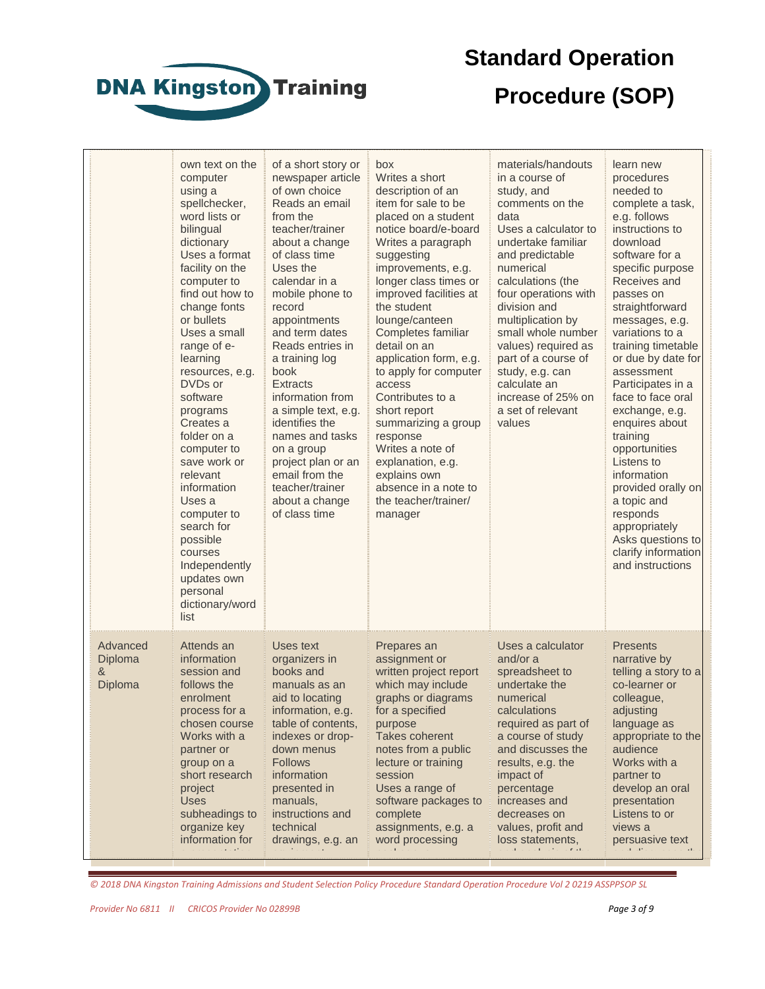

# **Standard Operation Procedure (SOP)**

|   |                                | own text on the<br>computer<br>using a<br>spellchecker,<br>word lists or<br>bilingual<br>dictionary<br>Uses a format<br>facility on the<br>computer to<br>find out how to<br>change fonts<br>or bullets<br>Uses a small<br>range of e-<br>learning<br>resources, e.g.<br>DVDs or<br>software<br>programs<br>Creates a<br>folder on a<br>computer to<br>save work or<br>relevant<br>information<br>Uses a<br>computer to<br>search for<br>possible<br>courses<br>Independently<br>updates own<br>personal<br>dictionary/word<br>list | of a short story or<br>newspaper article<br>of own choice<br>Reads an email<br>from the<br>teacher/trainer<br>about a change<br>of class time<br>Uses the<br>calendar in a<br>mobile phone to<br>record<br>appointments<br>and term dates<br>Reads entries in<br>a training log<br>book<br><b>Extracts</b><br>information from<br>a simple text, e.g.<br>identifies the<br>names and tasks<br>on a group<br>project plan or an<br>email from the<br>teacher/trainer<br>about a change<br>of class time | box<br>Writes a short<br>description of an<br>item for sale to be<br>placed on a student<br>notice board/e-board<br>Writes a paragraph<br>suggesting<br>improvements, e.g.<br>longer class times or<br>improved facilities at<br>the student<br>lounge/canteen<br>Completes familiar<br>detail on an<br>application form, e.g.<br>to apply for computer<br>access<br>Contributes to a<br>short report<br>summarizing a group<br>response<br>Writes a note of<br>explanation, e.g.<br>explains own<br>absence in a note to<br>the teacher/trainer/<br>manager | materials/handouts<br>in a course of<br>study, and<br>comments on the<br>data<br>Uses a calculator to<br>undertake familiar<br>and predictable<br>numerical<br>calculations (the<br>four operations with<br>division and<br>multiplication by<br>small whole number<br>values) required as<br>part of a course of<br>study, e.g. can<br>calculate an<br>increase of 25% on<br>a set of relevant<br>values | learn new<br>procedures<br>needed to<br>complete a task,<br>e.g. follows<br>instructions to<br>download<br>software for a<br>specific purpose<br>Receives and<br>passes on<br>straightforward<br>messages, e.g.<br>variations to a<br>training timetable<br>or due by date for<br>assessment<br>Participates in a<br>face to face oral<br>exchange, e.g.<br>enquires about<br>training<br>opportunities<br>Listens to<br>information<br>provided orally on<br>a topic and<br>responds<br>appropriately<br>Asks questions to<br>clarify information<br>and instructions |
|---|--------------------------------|-------------------------------------------------------------------------------------------------------------------------------------------------------------------------------------------------------------------------------------------------------------------------------------------------------------------------------------------------------------------------------------------------------------------------------------------------------------------------------------------------------------------------------------|--------------------------------------------------------------------------------------------------------------------------------------------------------------------------------------------------------------------------------------------------------------------------------------------------------------------------------------------------------------------------------------------------------------------------------------------------------------------------------------------------------|--------------------------------------------------------------------------------------------------------------------------------------------------------------------------------------------------------------------------------------------------------------------------------------------------------------------------------------------------------------------------------------------------------------------------------------------------------------------------------------------------------------------------------------------------------------|-----------------------------------------------------------------------------------------------------------------------------------------------------------------------------------------------------------------------------------------------------------------------------------------------------------------------------------------------------------------------------------------------------------|------------------------------------------------------------------------------------------------------------------------------------------------------------------------------------------------------------------------------------------------------------------------------------------------------------------------------------------------------------------------------------------------------------------------------------------------------------------------------------------------------------------------------------------------------------------------|
| & | Advanced<br>Diploma<br>Diploma | Attends an<br>information<br>session and<br>follows the<br>enrolment<br>process for a<br>chosen course<br>Works with a<br>partner or<br>group on a<br>short research<br>project<br><b>Uses</b><br>subheadings to<br>organize key<br>information for<br>$\alpha$ and $\alpha$ is a set of the $\alpha$                                                                                                                                                                                                                               | Uses text<br>organizers in<br>books and<br>manuals as an<br>aid to locating<br>information, e.g.<br>table of contents,<br>indexes or drop-<br>down menus<br><b>Follows</b><br>information<br>presented in<br>manuals,<br>instructions and<br>technical<br>drawings, e.g. an                                                                                                                                                                                                                            | Prepares an<br>assignment or<br>written project report<br>which may include<br>graphs or diagrams<br>for a specified<br>purpose<br>Takes coherent<br>notes from a public<br>lecture or training<br>session<br>Uses a range of<br>software packages to<br>complete<br>assignments, e.g. a<br>word processing                                                                                                                                                                                                                                                  | Uses a calculator<br>and/or a<br>spreadsheet to<br>undertake the<br>numerical<br>calculations<br>required as part of<br>a course of study<br>and discusses the<br>results, e.g. the<br>impact of<br>percentage<br>increases and<br>decreases on<br>values, profit and<br>loss statements,<br>والملفائك والملامين والمستور المست                                                                           | <b>Presents</b><br>narrative by<br>telling a story to a<br>co-learner or<br>colleague,<br>adjusting<br>language as<br>appropriate to the<br>audience<br>Works with a<br>partner to<br>develop an oral<br>presentation<br>Listens to or<br>views a<br>persuasive text<br>وأعلقا أعابد بالمحادث بملاقات المرتب                                                                                                                                                                                                                                                           |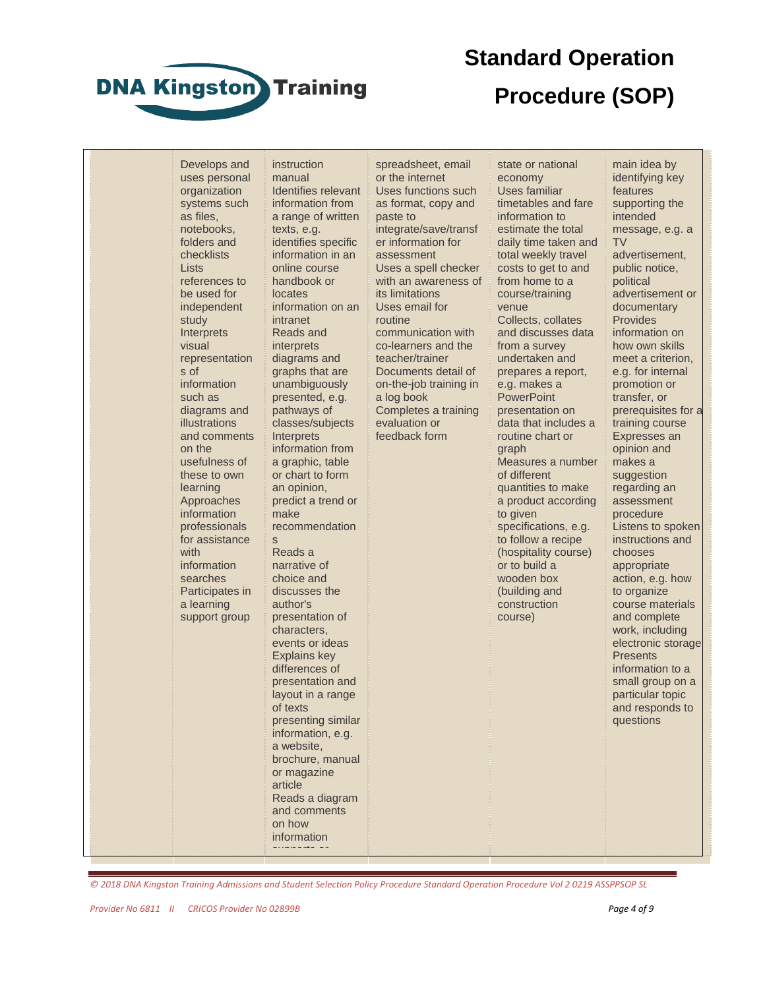

Lists

study

visual

s of

on the

with

## **Standard Operation Procedure (SOP)**

state or national economy

Develops and uses personal organization systems such as files, notebooks, folders and checklists references to be used for independent **Interprets** representation information such as diagrams and illustrations and comments usefulness of these to own learning Approaches information professionals for assistance information searches Participates in a learning support group instruction manual Identifies relevant information from a range of written texts, e.g. identifies specific information in an online course handbook or locates information on an intranet Reads and interprets diagrams and graphs that are unambiguously presented, e.g. pathways of classes/subjects **Interprets** information from a graphic, table or chart to form an opinion, predict a trend or make recommendation s Reads a narrative of choice and discusses the author's presentation of characters, events or ideas Explains key differences of presentation and layout in a range of texts presenting similar information, e.g. a website, brochure, manual or magazine article Reads a diagram and comments on how

paste to routine

spreadsheet, email or the internet Uses functions such as format, copy and integrate/save/transf er information for assessment Uses a spell checker with an awareness of its limitations Uses email for communication with co-learners and the teacher/trainer Documents detail of on-the-job training in a log book

Completes a training evaluation or feedback form

Uses familiar timetables and fare information to estimate the total daily time taken and total weekly travel costs to get to and from home to a course/training venue Collects, collates and discusses data from a survey undertaken and prepares a report, e.g. makes a **PowerPoint** presentation on data that includes a routine chart or graph Measures a number of different quantities to make a product according to given specifications, e.g. to follow a recipe (hospitality course) or to build a wooden box (building and construction course)

main idea by identifying key features supporting the intended message, e.g. a TV advertisement, public notice, political advertisement or documentary Provides information on how own skills meet a criterion, e.g. for internal promotion or transfer, or prerequisites for a training course Expresses an opinion and makes a suggestion regarding an assessment procedure Listens to spoken instructions and chooses appropriate action, e.g. how to organize course materials and complete work, including electronic storage **Presents** information to a small group on a particular topic and responds to questions

*© 2018 DNA Kingston Training Admissions and Student Selection Policy Procedure Standard Operation Procedure Vol 2 0219 ASSPPSOP SL*

information supports or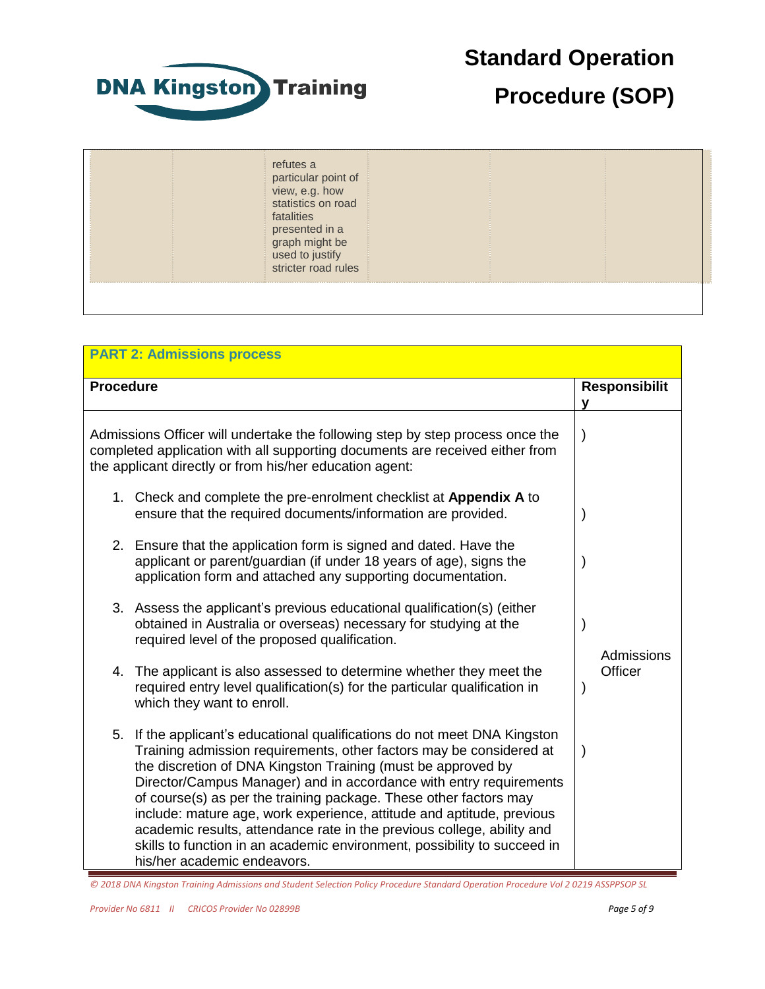

## **Procedure (SOP)**

| refutes a<br>particular point of<br>view, e.g. how<br>statistics on road<br>fatalities<br>presented in a<br>graph might be<br>used to justify<br>stricter road rules |  |
|----------------------------------------------------------------------------------------------------------------------------------------------------------------------|--|
|                                                                                                                                                                      |  |

| <b>PART 2: Admissions process</b>                                                                                                                                                                                                                                                                                                                                                                                                                                                                                                                                                                                            |                           |  |  |  |
|------------------------------------------------------------------------------------------------------------------------------------------------------------------------------------------------------------------------------------------------------------------------------------------------------------------------------------------------------------------------------------------------------------------------------------------------------------------------------------------------------------------------------------------------------------------------------------------------------------------------------|---------------------------|--|--|--|
| <b>Procedure</b>                                                                                                                                                                                                                                                                                                                                                                                                                                                                                                                                                                                                             | <b>Responsibilit</b><br>у |  |  |  |
| Admissions Officer will undertake the following step by step process once the<br>completed application with all supporting documents are received either from<br>the applicant directly or from his/her education agent:                                                                                                                                                                                                                                                                                                                                                                                                     | $\lambda$                 |  |  |  |
| 1. Check and complete the pre-enrolment checklist at Appendix A to<br>ensure that the required documents/information are provided.                                                                                                                                                                                                                                                                                                                                                                                                                                                                                           |                           |  |  |  |
| 2. Ensure that the application form is signed and dated. Have the<br>applicant or parent/guardian (if under 18 years of age), signs the<br>application form and attached any supporting documentation.                                                                                                                                                                                                                                                                                                                                                                                                                       |                           |  |  |  |
| 3. Assess the applicant's previous educational qualification(s) (either<br>obtained in Australia or overseas) necessary for studying at the<br>required level of the proposed qualification.                                                                                                                                                                                                                                                                                                                                                                                                                                 | Admissions                |  |  |  |
| The applicant is also assessed to determine whether they meet the<br>4.<br>required entry level qualification(s) for the particular qualification in<br>which they want to enroll.                                                                                                                                                                                                                                                                                                                                                                                                                                           | Officer                   |  |  |  |
| 5.<br>If the applicant's educational qualifications do not meet DNA Kingston<br>Training admission requirements, other factors may be considered at<br>the discretion of DNA Kingston Training (must be approved by<br>Director/Campus Manager) and in accordance with entry requirements<br>of course(s) as per the training package. These other factors may<br>include: mature age, work experience, attitude and aptitude, previous<br>academic results, attendance rate in the previous college, ability and<br>skills to function in an academic environment, possibility to succeed in<br>his/her academic endeavors. | $\mathbf{)}$              |  |  |  |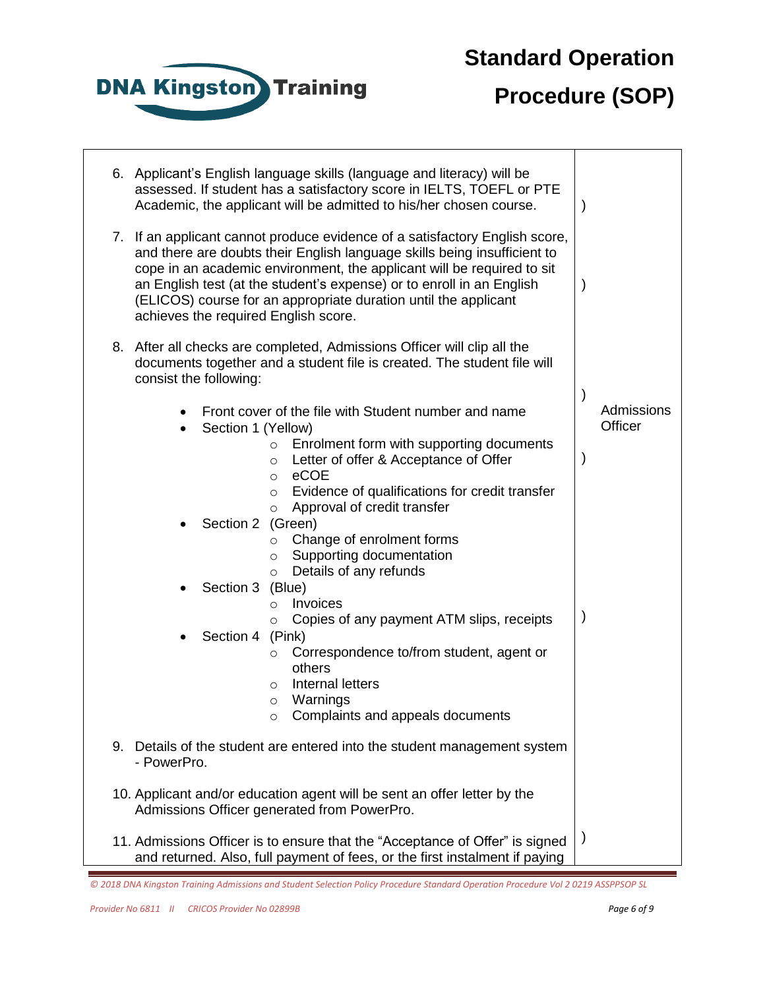

## **Procedure (SOP)**

Т

|    | 6. Applicant's English language skills (language and literacy) will be<br>assessed. If student has a satisfactory score in IELTS, TOEFL or PTE<br>Academic, the applicant will be admitted to his/her chosen course.                                                                                                                                                                                               | $\lambda$     |
|----|--------------------------------------------------------------------------------------------------------------------------------------------------------------------------------------------------------------------------------------------------------------------------------------------------------------------------------------------------------------------------------------------------------------------|---------------|
| 7. | If an applicant cannot produce evidence of a satisfactory English score,<br>and there are doubts their English language skills being insufficient to<br>cope in an academic environment, the applicant will be required to sit<br>an English test (at the student's expense) or to enroll in an English<br>(ELICOS) course for an appropriate duration until the applicant<br>achieves the required English score. | $\lambda$     |
|    | 8. After all checks are completed, Admissions Officer will clip all the<br>documents together and a student file is created. The student file will<br>consist the following:                                                                                                                                                                                                                                       | $\mathcal{E}$ |
|    | Front cover of the file with Student number and name                                                                                                                                                                                                                                                                                                                                                               | Admissions    |
|    | Section 1 (Yellow)                                                                                                                                                                                                                                                                                                                                                                                                 | Officer       |
|    | Enrolment form with supporting documents<br>$\circ$<br>Letter of offer & Acceptance of Offer<br>$\circ$<br>eCOE<br>$\circ$                                                                                                                                                                                                                                                                                         | $\mathcal{E}$ |
|    | Evidence of qualifications for credit transfer<br>$\circ$<br>Approval of credit transfer<br>$\circ$                                                                                                                                                                                                                                                                                                                |               |
|    | Section 2 (Green)                                                                                                                                                                                                                                                                                                                                                                                                  |               |
|    | Change of enrolment forms<br>$\circ$                                                                                                                                                                                                                                                                                                                                                                               |               |
|    | Supporting documentation<br>O                                                                                                                                                                                                                                                                                                                                                                                      |               |
|    | Details of any refunds<br>$\circ$<br>Section 3                                                                                                                                                                                                                                                                                                                                                                     |               |
|    | (Blue)<br>Invoices<br>$\circ$                                                                                                                                                                                                                                                                                                                                                                                      |               |
|    | Copies of any payment ATM slips, receipts<br>O                                                                                                                                                                                                                                                                                                                                                                     | $\mathcal{E}$ |
|    | Section 4 (Pink)                                                                                                                                                                                                                                                                                                                                                                                                   |               |
|    | Correspondence to/from student, agent or<br>O                                                                                                                                                                                                                                                                                                                                                                      |               |
|    | others                                                                                                                                                                                                                                                                                                                                                                                                             |               |
|    | Internal letters<br>O<br>Warnings<br>$\circ$                                                                                                                                                                                                                                                                                                                                                                       |               |
|    | Complaints and appeals documents<br>O                                                                                                                                                                                                                                                                                                                                                                              |               |
|    |                                                                                                                                                                                                                                                                                                                                                                                                                    |               |
| 9. | Details of the student are entered into the student management system<br>- PowerPro.                                                                                                                                                                                                                                                                                                                               |               |
|    | 10. Applicant and/or education agent will be sent an offer letter by the<br>Admissions Officer generated from PowerPro.                                                                                                                                                                                                                                                                                            |               |
|    | 11. Admissions Officer is to ensure that the "Acceptance of Offer" is signed<br>and returned. Also, full payment of fees, or the first instalment if paying                                                                                                                                                                                                                                                        | $\mathcal{E}$ |

*<sup>© 2018</sup> DNA Kingston Training Admissions and Student Selection Policy Procedure Standard Operation Procedure Vol 2 0219 ASSPPSOP SL*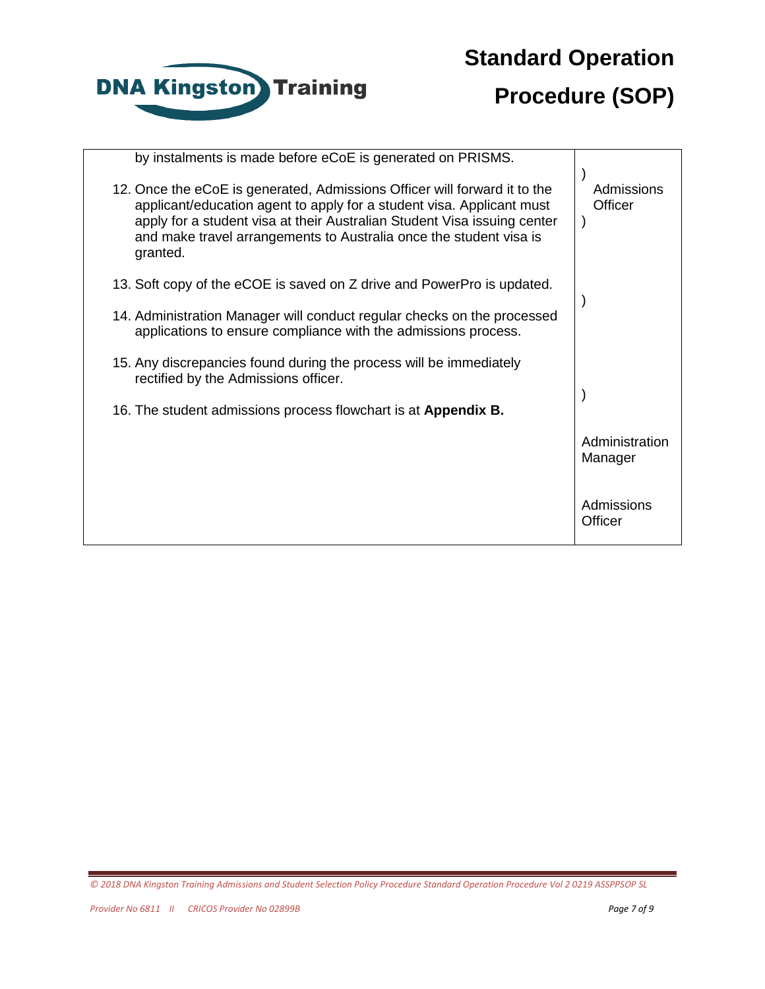

## **Procedure (SOP)**

| by instalments is made before eCoE is generated on PRISMS.                                                                                                                                                                                                                                                       |                           |
|------------------------------------------------------------------------------------------------------------------------------------------------------------------------------------------------------------------------------------------------------------------------------------------------------------------|---------------------------|
| 12. Once the eCoE is generated, Admissions Officer will forward it to the<br>applicant/education agent to apply for a student visa. Applicant must<br>apply for a student visa at their Australian Student Visa issuing center<br>and make travel arrangements to Australia once the student visa is<br>granted. | Admissions<br>Officer     |
| 13. Soft copy of the eCOE is saved on Z drive and PowerPro is updated.                                                                                                                                                                                                                                           |                           |
| 14. Administration Manager will conduct regular checks on the processed<br>applications to ensure compliance with the admissions process.                                                                                                                                                                        |                           |
| 15. Any discrepancies found during the process will be immediately<br>rectified by the Admissions officer.                                                                                                                                                                                                       |                           |
| 16. The student admissions process flowchart is at Appendix B.                                                                                                                                                                                                                                                   |                           |
|                                                                                                                                                                                                                                                                                                                  | Administration<br>Manager |
|                                                                                                                                                                                                                                                                                                                  | Admissions<br>Officer     |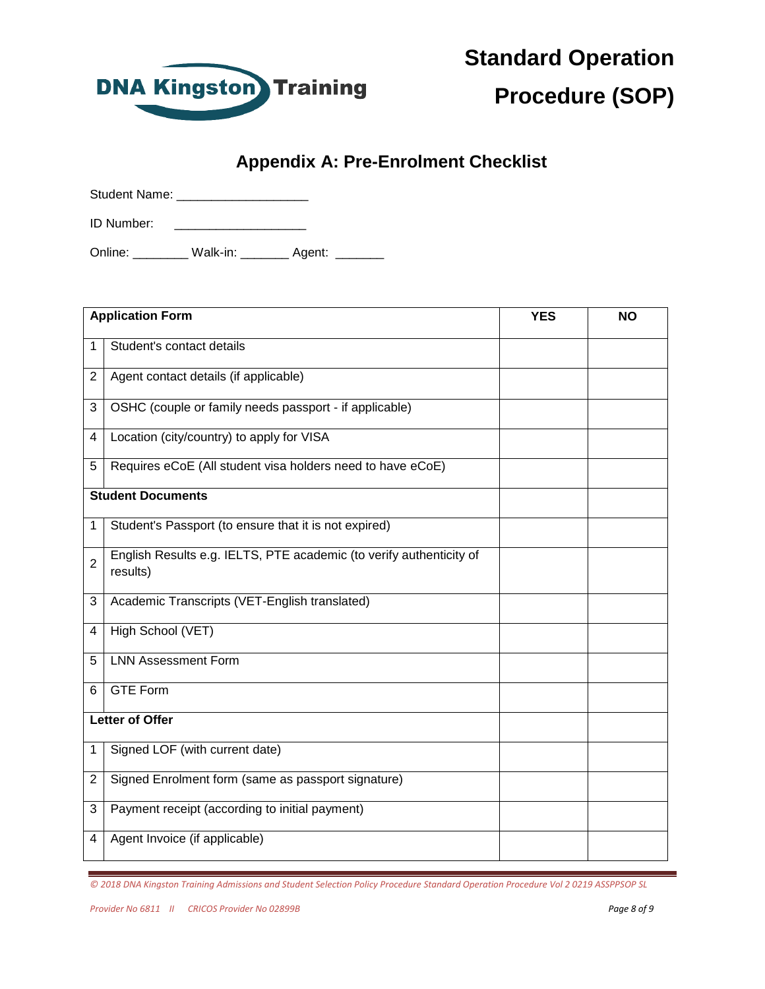

**Procedure (SOP)**

#### **Appendix A: Pre-Enrolment Checklist**

| <b>Student Name:</b> |          |        |  |
|----------------------|----------|--------|--|
| <b>ID Number:</b>    |          |        |  |
| Online:              | Walk-in: | Agent: |  |

|                | <b>Application Form</b>                                                         | <b>YES</b> | <b>NO</b> |
|----------------|---------------------------------------------------------------------------------|------------|-----------|
| 1              | Student's contact details                                                       |            |           |
| 2              | Agent contact details (if applicable)                                           |            |           |
| 3              | OSHC (couple or family needs passport - if applicable)                          |            |           |
| 4              | Location (city/country) to apply for VISA                                       |            |           |
| 5              | Requires eCoE (All student visa holders need to have eCoE)                      |            |           |
|                | <b>Student Documents</b>                                                        |            |           |
| 1              | Student's Passport (to ensure that it is not expired)                           |            |           |
| $\overline{2}$ | English Results e.g. IELTS, PTE academic (to verify authenticity of<br>results) |            |           |
| 3              | Academic Transcripts (VET-English translated)                                   |            |           |
| 4              | High School (VET)                                                               |            |           |
| 5              | <b>LNN Assessment Form</b>                                                      |            |           |
| 6              | <b>GTE Form</b>                                                                 |            |           |
|                | <b>Letter of Offer</b>                                                          |            |           |
| 1              | Signed LOF (with current date)                                                  |            |           |
| $\overline{2}$ | Signed Enrolment form (same as passport signature)                              |            |           |
| 3              | Payment receipt (according to initial payment)                                  |            |           |
| 4              | Agent Invoice (if applicable)                                                   |            |           |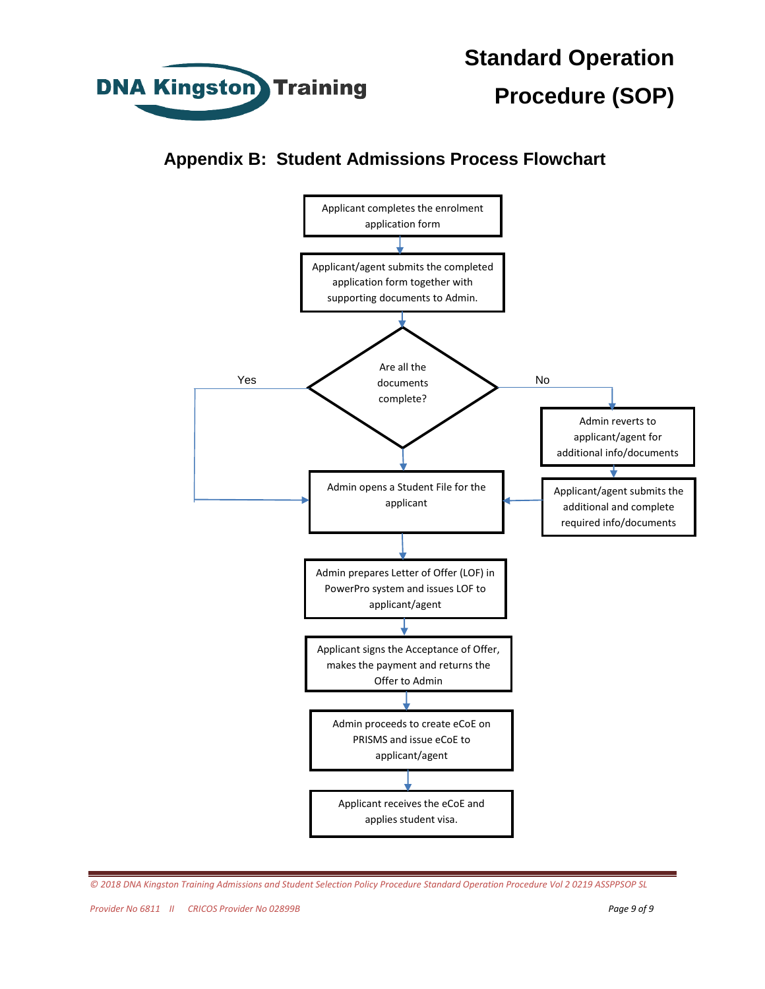

**Appendix B: Student Admissions Process Flowchart**